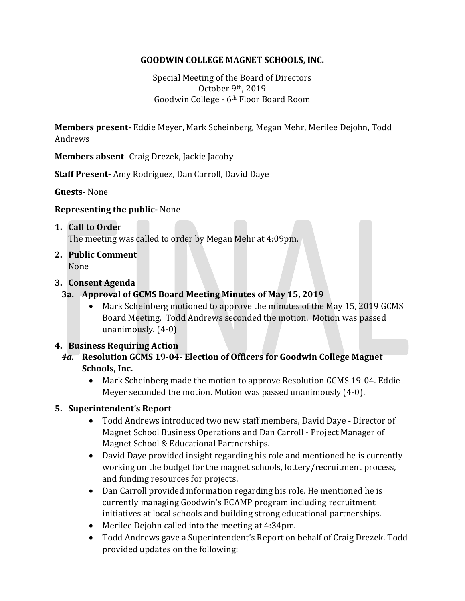## **GOODWIN COLLEGE MAGNET SCHOOLS, INC.**

Special Meeting of the Board of Directors October 9th, 2019 Goodwin College - 6th Floor Board Room

**Members present-** Eddie Meyer, Mark Scheinberg, Megan Mehr, Merilee Dejohn, Todd Andrews

**Members absent**- Craig Drezek, Jackie Jacoby

**Staff Present-** Amy Rodriguez, Dan Carroll, David Daye

**Guests-** None

#### **Representing the public-** None

#### **1. Call to Order**

The meeting was called to order by Megan Mehr at 4:09pm.

**2. Public Comment** None

#### **3. Consent Agenda**

- **3a. Approval of GCMS Board Meeting Minutes of May 15, 2019**
	- Mark Scheinberg motioned to approve the minutes of the May 15, 2019 GCMS Board Meeting. Todd Andrews seconded the motion. Motion was passed unanimously. (4-0)

## **4. Business Requiring Action**

- *4a.* **Resolution GCMS 19-04- Election of Officers for Goodwin College Magnet Schools, Inc.**
	- Mark Scheinberg made the motion to approve Resolution GCMS 19-04. Eddie Meyer seconded the motion. Motion was passed unanimously (4-0).

## **5. Superintendent's Report**

- Todd Andrews introduced two new staff members, David Daye Director of Magnet School Business Operations and Dan Carroll - Project Manager of Magnet School & Educational Partnerships.
- David Daye provided insight regarding his role and mentioned he is currently working on the budget for the magnet schools, lottery/recruitment process, and funding resources for projects.
- Dan Carroll provided information regarding his role. He mentioned he is currently managing Goodwin's ECAMP program including recruitment initiatives at local schools and building strong educational partnerships.
- Merilee Dejohn called into the meeting at 4:34pm.
- Todd Andrews gave a Superintendent's Report on behalf of Craig Drezek. Todd provided updates on the following: